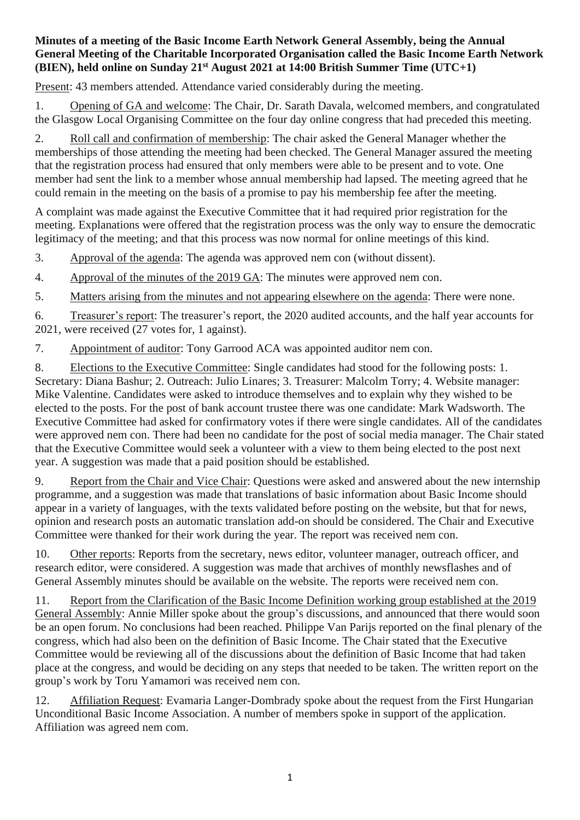## **Minutes of a meeting of the Basic Income Earth Network General Assembly, being the Annual General Meeting of the Charitable Incorporated Organisation called the Basic Income Earth Network (BIEN), held online on Sunday 21st August 2021 at 14:00 British Summer Time (UTC+1)**

Present: 43 members attended. Attendance varied considerably during the meeting.

1. Opening of GA and welcome: The Chair, Dr. Sarath Davala, welcomed members, and congratulated the Glasgow Local Organising Committee on the four day online congress that had preceded this meeting.

2. Roll call and confirmation of membership: The chair asked the General Manager whether the memberships of those attending the meeting had been checked. The General Manager assured the meeting that the registration process had ensured that only members were able to be present and to vote. One member had sent the link to a member whose annual membership had lapsed. The meeting agreed that he could remain in the meeting on the basis of a promise to pay his membership fee after the meeting.

A complaint was made against the Executive Committee that it had required prior registration for the meeting. Explanations were offered that the registration process was the only way to ensure the democratic legitimacy of the meeting; and that this process was now normal for online meetings of this kind.

3. Approval of the agenda: The agenda was approved nem con (without dissent).

4. Approval of the minutes of the 2019 GA: The minutes were approved nem con.

5. Matters arising from the minutes and not appearing elsewhere on the agenda: There were none.

6. Treasurer's report: The treasurer's report, the 2020 audited accounts, and the half year accounts for 2021, were received (27 votes for, 1 against).

7. Appointment of auditor: Tony Garrood ACA was appointed auditor nem con.

8. Elections to the Executive Committee: Single candidates had stood for the following posts: 1. Secretary: Diana Bashur; 2. Outreach: Julio Linares; 3. Treasurer: Malcolm Torry; 4. Website manager: Mike Valentine. Candidates were asked to introduce themselves and to explain why they wished to be elected to the posts. For the post of bank account trustee there was one candidate: Mark Wadsworth. The Executive Committee had asked for confirmatory votes if there were single candidates. All of the candidates were approved nem con. There had been no candidate for the post of social media manager. The Chair stated that the Executive Committee would seek a volunteer with a view to them being elected to the post next year. A suggestion was made that a paid position should be established.

9. Report from the Chair and Vice Chair: Questions were asked and answered about the new internship programme, and a suggestion was made that translations of basic information about Basic Income should appear in a variety of languages, with the texts validated before posting on the website, but that for news, opinion and research posts an automatic translation add-on should be considered. The Chair and Executive Committee were thanked for their work during the year. The report was received nem con.

10. Other reports: Reports from the secretary, news editor, volunteer manager, outreach officer, and research editor, were considered. A suggestion was made that archives of monthly newsflashes and of General Assembly minutes should be available on the website. The reports were received nem con.

11. Report from the Clarification of the Basic Income Definition working group established at the 2019 General Assembly: Annie Miller spoke about the group's discussions, and announced that there would soon be an open forum. No conclusions had been reached. Philippe Van Parijs reported on the final plenary of the congress, which had also been on the definition of Basic Income. The Chair stated that the Executive Committee would be reviewing all of the discussions about the definition of Basic Income that had taken place at the congress, and would be deciding on any steps that needed to be taken. The written report on the group's work by Toru Yamamori was received nem con.

12. Affiliation Request: Evamaria Langer-Dombrady spoke about the request from the First Hungarian Unconditional Basic Income Association. A number of members spoke in support of the application. Affiliation was agreed nem com.